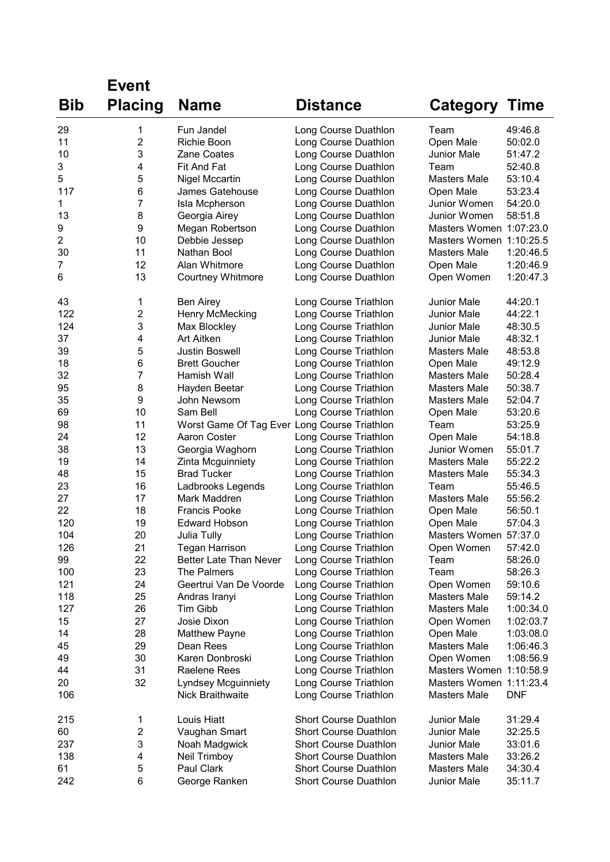|                | <b>Event</b>   |                                              |                                                |                                   |                      |
|----------------|----------------|----------------------------------------------|------------------------------------------------|-----------------------------------|----------------------|
| <b>Bib</b>     | <b>Placing</b> | <b>Name</b>                                  | <b>Distance</b>                                | <b>Category Time</b>              |                      |
|                |                |                                              |                                                |                                   |                      |
| 29             | 1              | Fun Jandel                                   | Long Course Duathlon                           | Team                              | 49:46.8              |
| 11             | 2              | Richie Boon                                  | Long Course Duathlon                           | Open Male                         | 50:02.0              |
| 10             | 3              | Zane Coates                                  | Long Course Duathlon                           | <b>Junior Male</b>                | 51:47.2              |
| 3              | 4              | Fit And Fat                                  | Long Course Duathlon                           | Team                              | 52:40.8              |
| 5              | 5              | <b>Nigel Mccartin</b>                        | Long Course Duathlon                           | Masters Male                      | 53:10.4              |
| 117            | 6              | James Gatehouse                              | Long Course Duathlon                           | Open Male                         | 53:23.4              |
| 1              | 7              | Isla Mcpherson                               | Long Course Duathlon                           | Junior Women                      | 54:20.0              |
| 13             | 8              | Georgia Airey                                | Long Course Duathlon                           | Junior Women                      | 58:51.8              |
| 9              | 9              | Megan Robertson                              | Long Course Duathlon                           | Masters Women 1:07:23.0           |                      |
| $\overline{c}$ | 10             | Debbie Jessep                                | Long Course Duathlon                           | Masters Women 1:10:25.5           |                      |
| 30             | 11             | Nathan Bool                                  | Long Course Duathlon                           | Masters Male                      | 1:20:46.5            |
| 7              | 12             | Alan Whitmore                                | Long Course Duathlon                           | Open Male                         | 1:20:46.9            |
| 6              | 13             | <b>Courtney Whitmore</b>                     | Long Course Duathlon                           | Open Women                        | 1:20:47.3            |
| 43             | 1              | <b>Ben Airey</b>                             | Long Course Triathlon                          | <b>Junior Male</b>                | 44:20.1              |
| 122            | 2              | Henry McMecking                              | Long Course Triathlon                          | <b>Junior Male</b>                | 44:22.1              |
| 124            | 3              | Max Blockley                                 | Long Course Triathlon                          | Junior Male                       | 48:30.5              |
| 37             | 4              | Art Aitken                                   | Long Course Triathlon                          | <b>Junior Male</b>                | 48:32.1              |
| 39             | 5              | Justin Boswell                               | Long Course Triathlon                          | Masters Male                      | 48:53.8              |
| 18             | 6              | <b>Brett Goucher</b>                         | Long Course Triathlon                          | Open Male                         | 49:12.9              |
| 32             | 7              | Hamish Wall                                  | Long Course Triathlon                          | Masters Male                      | 50:28.4              |
| 95             | 8              | Hayden Beetar                                | Long Course Triathlon                          | <b>Masters Male</b>               | 50:38.7              |
| 35             | 9              | John Newsom                                  | Long Course Triathlon                          | Masters Male                      | 52:04.7              |
| 69             | 10             | Sam Bell                                     | Long Course Triathlon                          | Open Male                         | 53:20.6              |
| 98             | 11             | Worst Game Of Tag Ever Long Course Triathlon |                                                | Team                              | 53:25.9              |
| 24             | 12             | Aaron Coster                                 | Long Course Triathlon                          | Open Male                         | 54:18.8              |
| 38             | 13             | Georgia Waghorn                              | Long Course Triathlon                          | Junior Women                      | 55:01.7              |
| 19             | 14             | Zinta Mcguinniety                            | Long Course Triathlon                          | Masters Male                      | 55:22.2              |
| 48             | 15             | <b>Brad Tucker</b>                           | Long Course Triathlon                          | Masters Male                      | 55:34.3              |
| 23             | 16             | Ladbrooks Legends                            | Long Course Triathlon                          | Team                              | 55:46.5              |
| 27             | 17             | Mark Maddren                                 | Long Course Triathlon                          | Masters Male                      | 55:56.2              |
| 22             | 18             | <b>Francis Pooke</b>                         | Long Course Triathlon                          | Open Male                         | 56:50.1              |
| 120            | 19             | <b>Edward Hobson</b>                         | Long Course Triathlon                          | Open Male                         | 57:04.3              |
| 104            | 20             | Julia Tully                                  | Long Course Triathlon                          | Masters Women 57:37.0             |                      |
| 126            | 21             | <b>Tegan Harrison</b>                        | Long Course Triathlon                          | Open Women                        | 57:42.0              |
| 99             | 22             | <b>Better Late Than Never</b>                | Long Course Triathlon                          | Team                              | 58:26.0              |
| 100            | 23             | The Palmers                                  | Long Course Triathlon                          | Team                              | 58:26.3              |
| 121            | 24             | Geertrui Van De Voorde                       | Long Course Triathlon                          | Open Women<br><b>Masters Male</b> | 59:10.6              |
| 118<br>127     | 25             | Andras Iranyi<br><b>Tim Gibb</b>             | Long Course Triathlon                          |                                   | 59:14.2<br>1:00:34.0 |
| 15             | 26<br>27       | Josie Dixon                                  | Long Course Triathlon                          | Masters Male                      | 1:02:03.7            |
| 14             | 28             |                                              | Long Course Triathlon                          | Open Women<br>Open Male           | 1:03:08.0            |
| 45             | 29             | <b>Matthew Payne</b><br>Dean Rees            | Long Course Triathlon                          | <b>Masters Male</b>               | 1:06:46.3            |
| 49             | 30             | Karen Donbroski                              | Long Course Triathlon<br>Long Course Triathlon | Open Women                        | 1:08:56.9            |
| 44             | 31             | Raelene Rees                                 | Long Course Triathlon                          | Masters Women 1:10:58.9           |                      |
| 20             | 32             | <b>Lyndsey Mcguinniety</b>                   | Long Course Triathlon                          | Masters Women 1:11:23.4           |                      |
| 106            |                | Nick Braithwaite                             | Long Course Triathlon                          | Masters Male                      | <b>DNF</b>           |
| 215            | 1              | Louis Hiatt                                  | Short Course Duathlon                          | Junior Male                       | 31:29.4              |
| 60             | 2              | Vaughan Smart                                | <b>Short Course Duathlon</b>                   | Junior Male                       | 32:25.5              |
| 237            | 3              | Noah Madgwick                                | Short Course Duathlon                          | Junior Male                       | 33:01.6              |
| 138            | 4              | Neil Trimboy                                 | Short Course Duathlon                          | Masters Male                      | 33:26.2              |
| 61             | 5              | Paul Clark                                   | <b>Short Course Duathlon</b>                   | Masters Male                      | 34:30.4              |
| 242            | 6              | George Ranken                                | Short Course Duathlon                          | Junior Male                       | 35:11.7              |
|                |                |                                              |                                                |                                   |                      |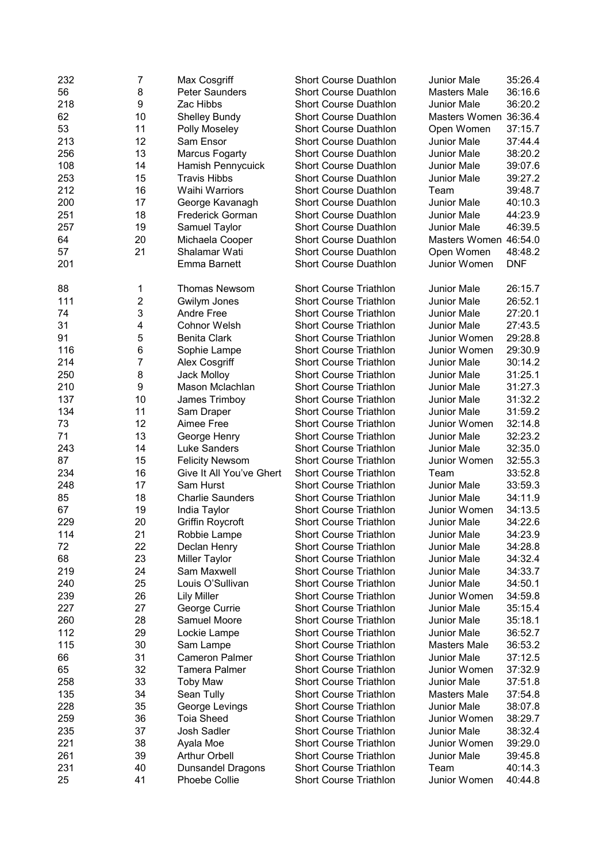| 232 | 7              | Max Cosgriff             | <b>Short Course Duathlon</b>  | <b>Junior Male</b>    | 35:26.4    |
|-----|----------------|--------------------------|-------------------------------|-----------------------|------------|
| 56  | 8              | <b>Peter Saunders</b>    | <b>Short Course Duathlon</b>  | <b>Masters Male</b>   | 36:16.6    |
| 218 | 9              | Zac Hibbs                | <b>Short Course Duathlon</b>  | <b>Junior Male</b>    | 36:20.2    |
| 62  | 10             | <b>Shelley Bundy</b>     | <b>Short Course Duathlon</b>  | Masters Women 36:36.4 |            |
| 53  | 11             | Polly Moseley            | <b>Short Course Duathlon</b>  | Open Women            | 37:15.7    |
| 213 | 12             | Sam Ensor                | <b>Short Course Duathlon</b>  | <b>Junior Male</b>    | 37:44.4    |
| 256 | 13             | <b>Marcus Fogarty</b>    | <b>Short Course Duathlon</b>  | <b>Junior Male</b>    | 38:20.2    |
| 108 | 14             | Hamish Pennycuick        | <b>Short Course Duathlon</b>  | <b>Junior Male</b>    | 39:07.6    |
|     | 15             |                          |                               |                       |            |
| 253 |                | <b>Travis Hibbs</b>      | <b>Short Course Duathlon</b>  | <b>Junior Male</b>    | 39:27.2    |
| 212 | 16             | <b>Waihi Warriors</b>    | <b>Short Course Duathlon</b>  | Team                  | 39:48.7    |
| 200 | 17             | George Kavanagh          | <b>Short Course Duathlon</b>  | <b>Junior Male</b>    | 40:10.3    |
| 251 | 18             | <b>Frederick Gorman</b>  | Short Course Duathlon         | <b>Junior Male</b>    | 44:23.9    |
| 257 | 19             | Samuel Taylor            | <b>Short Course Duathlon</b>  | <b>Junior Male</b>    | 46:39.5    |
| 64  | 20             | Michaela Cooper          | <b>Short Course Duathlon</b>  | Masters Women 46:54.0 |            |
| 57  | 21             | Shalamar Wati            | <b>Short Course Duathlon</b>  | Open Women            | 48:48.2    |
| 201 |                | Emma Barnett             | <b>Short Course Duathlon</b>  | Junior Women          | <b>DNF</b> |
|     |                |                          |                               |                       |            |
| 88  | 1              | <b>Thomas Newsom</b>     | <b>Short Course Triathlon</b> | <b>Junior Male</b>    | 26:15.7    |
| 111 | $\overline{c}$ | Gwilym Jones             | <b>Short Course Triathlon</b> | Junior Male           | 26:52.1    |
| 74  | 3              | <b>Andre Free</b>        | <b>Short Course Triathlon</b> | <b>Junior Male</b>    | 27:20.1    |
| 31  | 4              | <b>Cohnor Welsh</b>      | <b>Short Course Triathlon</b> | Junior Male           | 27:43.5    |
| 91  | 5              | <b>Benita Clark</b>      | <b>Short Course Triathlon</b> | Junior Women          | 29:28.8    |
| 116 | 6              | Sophie Lampe             | <b>Short Course Triathlon</b> | Junior Women          | 29:30.9    |
| 214 | 7              |                          | <b>Short Course Triathlon</b> | <b>Junior Male</b>    | 30:14.2    |
|     |                | <b>Alex Cosgriff</b>     |                               |                       |            |
| 250 | 8              | <b>Jack Molloy</b>       | <b>Short Course Triathlon</b> | Junior Male           | 31:25.1    |
| 210 | 9              | Mason Mclachlan          | <b>Short Course Triathlon</b> | <b>Junior Male</b>    | 31:27.3    |
| 137 | 10             | James Trimboy            | <b>Short Course Triathlon</b> | <b>Junior Male</b>    | 31:32.2    |
| 134 | 11             | Sam Draper               | <b>Short Course Triathlon</b> | <b>Junior Male</b>    | 31:59.2    |
| 73  | 12             | Aimee Free               | <b>Short Course Triathlon</b> | Junior Women          | 32:14.8    |
| 71  | 13             | George Henry             | <b>Short Course Triathlon</b> | <b>Junior Male</b>    | 32:23.2    |
| 243 | 14             | Luke Sanders             | <b>Short Course Triathlon</b> | Junior Male           | 32:35.0    |
| 87  | 15             | <b>Felicity Newsom</b>   | <b>Short Course Triathlon</b> | Junior Women          | 32:55.3    |
| 234 | 16             | Give It All You've Ghert | <b>Short Course Triathlon</b> | Team                  | 33:52.8    |
| 248 | 17             | Sam Hurst                | <b>Short Course Triathlon</b> | <b>Junior Male</b>    | 33:59.3    |
| 85  | 18             | <b>Charlie Saunders</b>  | <b>Short Course Triathlon</b> | <b>Junior Male</b>    | 34:11.9    |
| 67  | 19             | India Taylor             | <b>Short Course Triathlon</b> | Junior Women          | 34:13.5    |
| 229 | 20             | <b>Griffin Roycroft</b>  | <b>Short Course Triathlon</b> | <b>Junior Male</b>    | 34:22.6    |
| 114 | 21             | Robbie Lampe             | <b>Short Course Triathlon</b> | Junior Male           | 34:23.9    |
| 72  | 22             | Declan Henry             | <b>Short Course Triathlon</b> | <b>Junior Male</b>    | 34:28.8    |
| 68  | 23             | <b>Miller Taylor</b>     | <b>Short Course Triathlon</b> | <b>Junior Male</b>    | 34:32.4    |
| 219 | 24             | Sam Maxwell              | <b>Short Course Triathlon</b> | <b>Junior Male</b>    | 34:33.7    |
| 240 | 25             | Louis O'Sullivan         | <b>Short Course Triathlon</b> | <b>Junior Male</b>    | 34:50.1    |
|     | 26             |                          |                               | Junior Women          |            |
| 239 |                | <b>Lily Miller</b>       | <b>Short Course Triathlon</b> |                       | 34:59.8    |
| 227 | 27             | George Currie            | <b>Short Course Triathlon</b> | <b>Junior Male</b>    | 35:15.4    |
| 260 | 28             | Samuel Moore             | <b>Short Course Triathlon</b> | <b>Junior Male</b>    | 35:18.1    |
| 112 | 29             | Lockie Lampe             | <b>Short Course Triathlon</b> | <b>Junior Male</b>    | 36:52.7    |
| 115 | 30             | Sam Lampe                | <b>Short Course Triathlon</b> | <b>Masters Male</b>   | 36:53.2    |
| 66  | 31             | <b>Cameron Palmer</b>    | <b>Short Course Triathlon</b> | <b>Junior Male</b>    | 37:12.5    |
| 65  | 32             | <b>Tamera Palmer</b>     | <b>Short Course Triathlon</b> | Junior Women          | 37:32.9    |
| 258 | 33             | <b>Toby Maw</b>          | <b>Short Course Triathlon</b> | <b>Junior Male</b>    | 37:51.8    |
| 135 | 34             | Sean Tully               | <b>Short Course Triathlon</b> | <b>Masters Male</b>   | 37:54.8    |
| 228 | 35             | George Levings           | <b>Short Course Triathlon</b> | <b>Junior Male</b>    | 38:07.8    |
| 259 | 36             | <b>Toia Sheed</b>        | <b>Short Course Triathlon</b> | Junior Women          | 38:29.7    |
| 235 | 37             | Josh Sadler              | <b>Short Course Triathlon</b> | <b>Junior Male</b>    | 38:32.4    |
| 221 | 38             | Ayala Moe                | <b>Short Course Triathlon</b> | Junior Women          | 39:29.0    |
| 261 | 39             | <b>Arthur Orbell</b>     | <b>Short Course Triathlon</b> | Junior Male           | 39:45.8    |
| 231 | 40             | <b>Dunsandel Dragons</b> | <b>Short Course Triathlon</b> | Team                  | 40:14.3    |
| 25  | 41             | <b>Phoebe Collie</b>     | <b>Short Course Triathlon</b> | Junior Women          | 40:44.8    |
|     |                |                          |                               |                       |            |